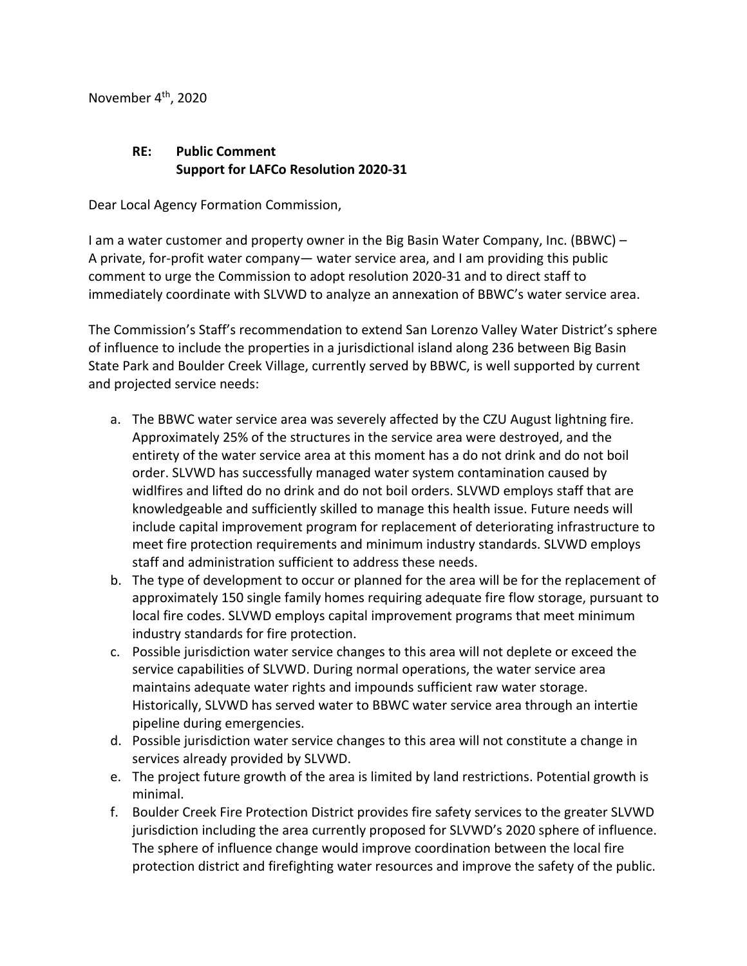November  $4<sup>th</sup>$ , 2020

## **RE: Public Comment Support for LAFCo Resolution 2020-31**

Dear Local Agency Formation Commission,

I am a water customer and property owner in the Big Basin Water Company, Inc. (BBWC) – A private, for-profit water company— water service area, and I am providing this public comment to urge the Commission to adopt resolution 2020-31 and to direct staff to immediately coordinate with SLVWD to analyze an annexation of BBWC's water service area.

The Commission's Staff's recommendation to extend San Lorenzo Valley Water District's sphere of influence to include the properties in a jurisdictional island along 236 between Big Basin State Park and Boulder Creek Village, currently served by BBWC, is well supported by current and projected service needs:

- a. The BBWC water service area was severely affected by the CZU August lightning fire. Approximately 25% of the structures in the service area were destroyed, and the entirety of the water service area at this moment has a do not drink and do not boil order. SLVWD has successfully managed water system contamination caused by widlfires and lifted do no drink and do not boil orders. SLVWD employs staff that are knowledgeable and sufficiently skilled to manage this health issue. Future needs will include capital improvement program for replacement of deteriorating infrastructure to meet fire protection requirements and minimum industry standards. SLVWD employs staff and administration sufficient to address these needs.
- b. The type of development to occur or planned for the area will be for the replacement of approximately 150 single family homes requiring adequate fire flow storage, pursuant to local fire codes. SLVWD employs capital improvement programs that meet minimum industry standards for fire protection.
- c. Possible jurisdiction water service changes to this area will not deplete or exceed the service capabilities of SLVWD. During normal operations, the water service area maintains adequate water rights and impounds sufficient raw water storage. Historically, SLVWD has served water to BBWC water service area through an intertie pipeline during emergencies.
- d. Possible jurisdiction water service changes to this area will not constitute a change in services already provided by SLVWD.
- e. The project future growth of the area is limited by land restrictions. Potential growth is minimal.
- f. Boulder Creek Fire Protection District provides fire safety services to the greater SLVWD jurisdiction including the area currently proposed for SLVWD's 2020 sphere of influence. The sphere of influence change would improve coordination between the local fire protection district and firefighting water resources and improve the safety of the public.